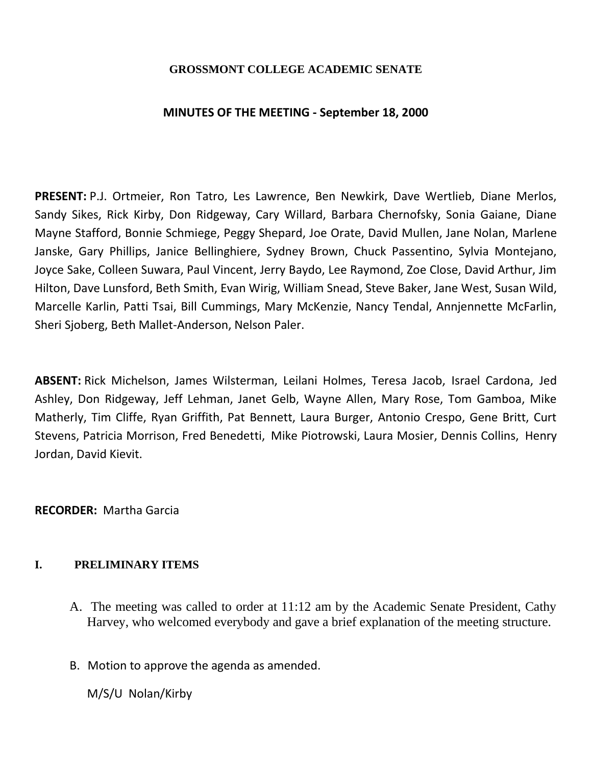## **GROSSMONT COLLEGE ACADEMIC SENATE**

## **MINUTES OF THE MEETING - September 18, 2000**

**PRESENT:** P.J. Ortmeier, Ron Tatro, Les Lawrence, Ben Newkirk, Dave Wertlieb, Diane Merlos, Sandy Sikes, Rick Kirby, Don Ridgeway, Cary Willard, Barbara Chernofsky, Sonia Gaiane, Diane Mayne Stafford, Bonnie Schmiege, Peggy Shepard, Joe Orate, David Mullen, Jane Nolan, Marlene Janske, Gary Phillips, Janice Bellinghiere, Sydney Brown, Chuck Passentino, Sylvia Montejano, Joyce Sake, Colleen Suwara, Paul Vincent, Jerry Baydo, Lee Raymond, Zoe Close, David Arthur, Jim Hilton, Dave Lunsford, Beth Smith, Evan Wirig, William Snead, Steve Baker, Jane West, Susan Wild, Marcelle Karlin, Patti Tsai, Bill Cummings, Mary McKenzie, Nancy Tendal, Annjennette McFarlin, Sheri Sjoberg, Beth Mallet-Anderson, Nelson Paler.

**ABSENT:** Rick Michelson, James Wilsterman, Leilani Holmes, Teresa Jacob, Israel Cardona, Jed Ashley, Don Ridgeway, Jeff Lehman, Janet Gelb, Wayne Allen, Mary Rose, Tom Gamboa, Mike Matherly, Tim Cliffe, Ryan Griffith, Pat Bennett, Laura Burger, Antonio Crespo, Gene Britt, Curt Stevens, Patricia Morrison, Fred Benedetti, Mike Piotrowski, Laura Mosier, Dennis Collins, Henry Jordan, David Kievit.

## **RECORDER:** Martha Garcia

## **I. PRELIMINARY ITEMS**

- A. The meeting was called to order at 11:12 am by the Academic Senate President, Cathy Harvey, who welcomed everybody and gave a brief explanation of the meeting structure.
- B. Motion to approve the agenda as amended.

M/S/U Nolan/Kirby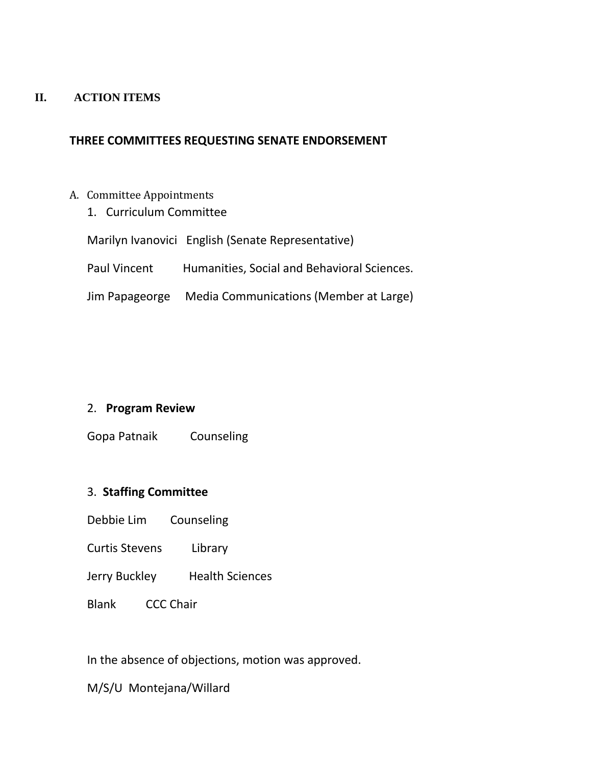#### **II. ACTION ITEMS**

# **THREE COMMITTEES REQUESTING SENATE ENDORSEMENT**

- A.Committee Appointments
	- 1. Curriculum Committee

Marilyn Ivanovici English (Senate Representative)

- Paul Vincent Humanities, Social and Behavioral Sciences.
- Jim Papageorge Media Communications (Member at Large)

## 2. **Program Review**

Gopa Patnaik Counseling

# 3. **Staffing Committee**

- Debbie Lim Counseling
- Curtis Stevens Library
- Jerry Buckley Health Sciences
- Blank CCC Chair

In the absence of objections, motion was approved.

M/S/U Montejana/Willard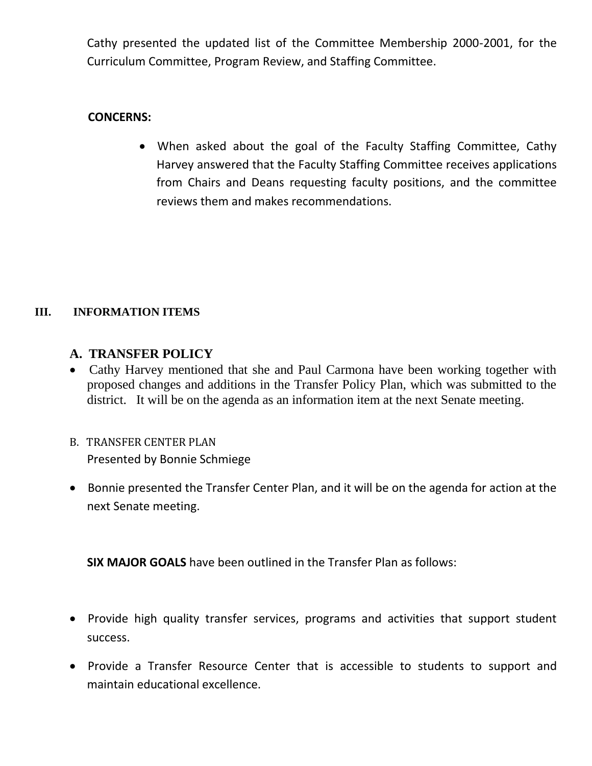Cathy presented the updated list of the Committee Membership 2000-2001, for the Curriculum Committee, Program Review, and Staffing Committee.

# **CONCERNS:**

 When asked about the goal of the Faculty Staffing Committee, Cathy Harvey answered that the Faculty Staffing Committee receives applications from Chairs and Deans requesting faculty positions, and the committee reviews them and makes recommendations.

# **III. INFORMATION ITEMS**

# **A. TRANSFER POLICY**

- Cathy Harvey mentioned that she and Paul Carmona have been working together with proposed changes and additions in the Transfer Policy Plan, which was submitted to the district. It will be on the agenda as an information item at the next Senate meeting.
- B.TRANSFER CENTER PLAN Presented by Bonnie Schmiege
- Bonnie presented the Transfer Center Plan, and it will be on the agenda for action at the next Senate meeting.

**SIX MAJOR GOALS** have been outlined in the Transfer Plan as follows:

- Provide high quality transfer services, programs and activities that support student success.
- Provide a Transfer Resource Center that is accessible to students to support and maintain educational excellence.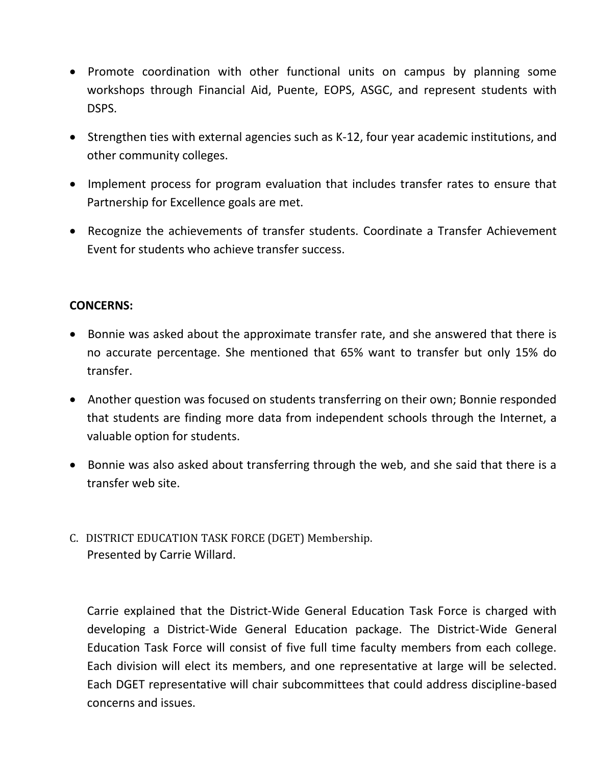- Promote coordination with other functional units on campus by planning some workshops through Financial Aid, Puente, EOPS, ASGC, and represent students with DSPS.
- Strengthen ties with external agencies such as K-12, four year academic institutions, and other community colleges.
- Implement process for program evaluation that includes transfer rates to ensure that Partnership for Excellence goals are met.
- Recognize the achievements of transfer students. Coordinate a Transfer Achievement Event for students who achieve transfer success.

## **CONCERNS:**

- Bonnie was asked about the approximate transfer rate, and she answered that there is no accurate percentage. She mentioned that 65% want to transfer but only 15% do transfer.
- Another question was focused on students transferring on their own; Bonnie responded that students are finding more data from independent schools through the Internet, a valuable option for students.
- Bonnie was also asked about transferring through the web, and she said that there is a transfer web site.
- C.DISTRICT EDUCATION TASK FORCE (DGET) Membership. Presented by Carrie Willard.

Carrie explained that the District-Wide General Education Task Force is charged with developing a District-Wide General Education package. The District-Wide General Education Task Force will consist of five full time faculty members from each college. Each division will elect its members, and one representative at large will be selected. Each DGET representative will chair subcommittees that could address discipline-based concerns and issues.